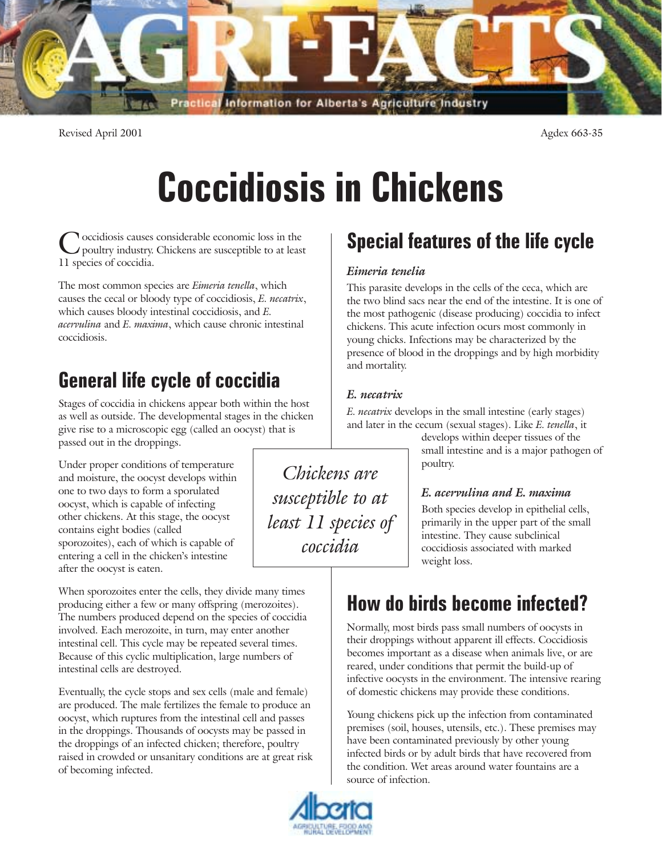

Revised April 2001 2001 2001 2001 2001 2001 2002 35

# Coccidiosis in Chickens

*Chickens are*

*susceptible to at*

*least 11 species of*

*coccidia*

occidiosis causes considerable economic loss in the poultry industry. Chickens are susceptible to at least 11 species of coccidia.

The most common species are *Eimeria tenella*, which causes the cecal or bloody type of coccidiosis, *E. necatrix*, which causes bloody intestinal coccidiosis, and *E. acervulina* and *E. maxima*, which cause chronic intestinal coccidiosis.

## General life cycle of coccidia

Stages of coccidia in chickens appear both within the host as well as outside. The developmental stages in the chicken give rise to a microscopic egg (called an oocyst) that is passed out in the droppings.

Under proper conditions of temperature and moisture, the oocyst develops within one to two days to form a sporulated oocyst, which is capable of infecting other chickens. At this stage, the oocyst contains eight bodies (called sporozoites), each of which is capable of entering a cell in the chicken's intestine after the oocyst is eaten.

When sporozoites enter the cells, they divide many times producing either a few or many offspring (merozoites). The numbers produced depend on the species of coccidia involved. Each merozoite, in turn, may enter another intestinal cell. This cycle may be repeated several times. Because of this cyclic multiplication, large numbers of intestinal cells are destroyed.

Eventually, the cycle stops and sex cells (male and female) are produced. The male fertilizes the female to produce an oocyst, which ruptures from the intestinal cell and passes in the droppings. Thousands of oocysts may be passed in the droppings of an infected chicken; therefore, poultry raised in crowded or unsanitary conditions are at great risk of becoming infected.

# Special features of the life cycle

#### *Eimeria tenelia*

This parasite develops in the cells of the ceca, which are the two blind sacs near the end of the intestine. It is one of the most pathogenic (disease producing) coccidia to infect chickens. This acute infection ocurs most commonly in young chicks. Infections may be characterized by the presence of blood in the droppings and by high morbidity and mortality.

#### *E. necatrix*

*E. necatrix* develops in the small intestine (early stages) and later in the cecum (sexual stages). Like *E. tenella*, it

develops within deeper tissues of the small intestine and is a major pathogen of poultry.

#### *E. acervulina and E. maxima*

Both species develop in epithelial cells, primarily in the upper part of the small intestine. They cause subclinical coccidiosis associated with marked weight loss.

# How do birds become infected?

Normally, most birds pass small numbers of oocysts in their droppings without apparent ill effects. Coccidiosis becomes important as a disease when animals live, or are reared, under conditions that permit the build-up of infective oocysts in the environment. The intensive rearing of domestic chickens may provide these conditions.

Young chickens pick up the infection from contaminated premises (soil, houses, utensils, etc.). These premises may have been contaminated previously by other young infected birds or by adult birds that have recovered from the condition. Wet areas around water fountains are a source of infection.

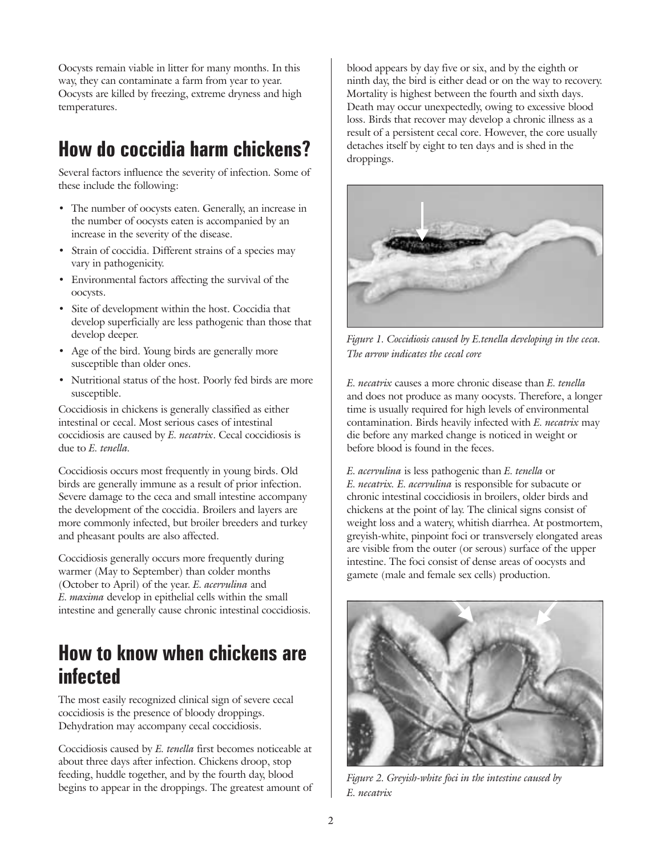Oocysts remain viable in litter for many months. In this way, they can contaminate a farm from year to year. Oocysts are killed by freezing, extreme dryness and high temperatures.

## How do coccidia harm chickens?

Several factors influence the severity of infection. Some of these include the following:

- The number of oocysts eaten. Generally, an increase in the number of oocysts eaten is accompanied by an increase in the severity of the disease.
- Strain of coccidia. Different strains of a species may vary in pathogenicity.
- Environmental factors affecting the survival of the oocysts.
- Site of development within the host. Coccidia that develop superficially are less pathogenic than those that develop deeper.
- Age of the bird. Young birds are generally more susceptible than older ones.
- Nutritional status of the host. Poorly fed birds are more susceptible.

Coccidiosis in chickens is generally classified as either intestinal or cecal. Most serious cases of intestinal coccidiosis are caused by *E. necatrix*. Cecal coccidiosis is due to *E. tenella.*

Coccidiosis occurs most frequently in young birds. Old birds are generally immune as a result of prior infection. Severe damage to the ceca and small intestine accompany the development of the coccidia. Broilers and layers are more commonly infected, but broiler breeders and turkey and pheasant poults are also affected.

Coccidiosis generally occurs more frequently during warmer (May to September) than colder months (October to April) of the year. *E. acervulina* and *E. maxima* develop in epithelial cells within the small intestine and generally cause chronic intestinal coccidiosis.

#### How to know when chickens are infected

The most easily recognized clinical sign of severe cecal coccidiosis is the presence of bloody droppings. Dehydration may accompany cecal coccidiosis.

Coccidiosis caused by *E. tenella* first becomes noticeable at about three days after infection. Chickens droop, stop feeding, huddle together, and by the fourth day, blood begins to appear in the droppings. The greatest amount of blood appears by day five or six, and by the eighth or ninth day, the bird is either dead or on the way to recovery. Mortality is highest between the fourth and sixth days. Death may occur unexpectedly, owing to excessive blood loss. Birds that recover may develop a chronic illness as a result of a persistent cecal core. However, the core usually detaches itself by eight to ten days and is shed in the droppings.



*Figure 1. Coccidiosis caused by E.tenella developing in the ceca. The arrow indicates the cecal core*

*E. necatrix* causes a more chronic disease than *E. tenella* and does not produce as many oocysts. Therefore, a longer time is usually required for high levels of environmental contamination. Birds heavily infected with *E. necatrix* may die before any marked change is noticed in weight or before blood is found in the feces.

*E. acervulina* is less pathogenic than *E. tenella* or *E. necatrix. E. acervulina* is responsible for subacute or chronic intestinal coccidiosis in broilers, older birds and chickens at the point of lay. The clinical signs consist of weight loss and a watery, whitish diarrhea. At postmortem, greyish-white, pinpoint foci or transversely elongated areas are visible from the outer (or serous) surface of the upper intestine. The foci consist of dense areas of oocysts and gamete (male and female sex cells) production.



*Figure 2. Greyish-white foci in the intestine caused by E. necatrix*